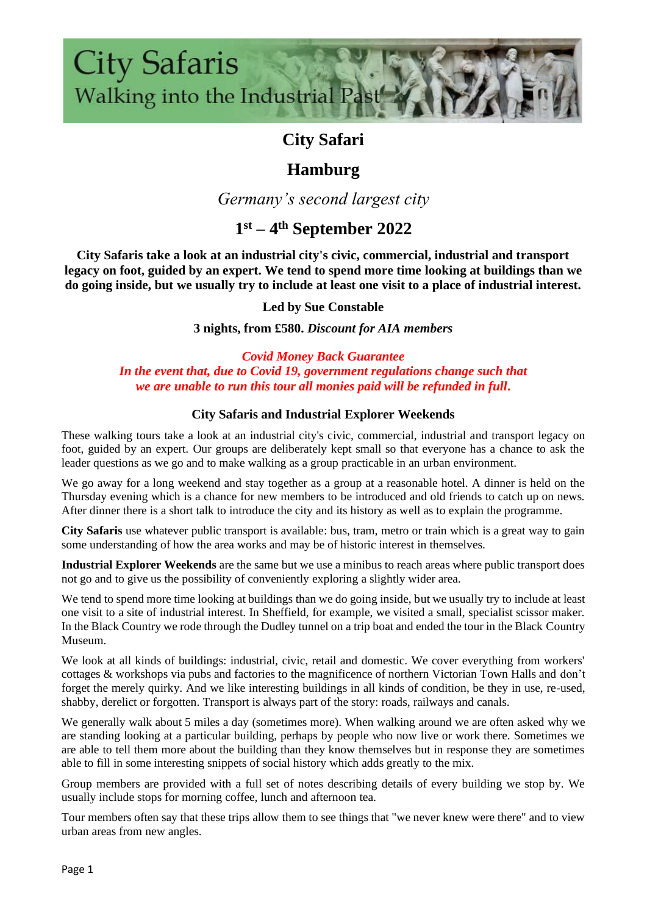

## **City Safari**

## **Hamburg**

*Germany's second largest city*

# **1 st – 4 th September 2022**

**City Safaris take a look at an industrial city's civic, commercial, industrial and transport legacy on foot, guided by an expert. We tend to spend more time looking at buildings than we do going inside, but we usually try to include at least one visit to a place of industrial interest.**

#### **Led by Sue Constable**

**3 nights, from £580.** *Discount for AIA members*

#### *Covid Money Back Guarantee In the event that, due to Covid 19, government regulations change such that we are unable to run this tour all monies paid will be refunded in full.*

#### **City Safaris and Industrial Explorer Weekends**

These walking tours take a look at an industrial city's civic, commercial, industrial and transport legacy on foot, guided by an expert. Our groups are deliberately kept small so that everyone has a chance to ask the leader questions as we go and to make walking as a group practicable in an urban environment.

We go away for a long weekend and stay together as a group at a reasonable hotel. A dinner is held on the Thursday evening which is a chance for new members to be introduced and old friends to catch up on news. After dinner there is a short talk to introduce the city and its history as well as to explain the programme.

**City Safaris** use whatever public transport is available: bus, tram, metro or train which is a great way to gain some understanding of how the area works and may be of historic interest in themselves.

**Industrial Explorer Weekends** are the same but we use a minibus to reach areas where public transport does not go and to give us the possibility of conveniently exploring a slightly wider area.

We tend to spend more time looking at buildings than we do going inside, but we usually try to include at least one visit to a site of industrial interest. In Sheffield, for example, we visited a small, specialist scissor maker. In the Black Country we rode through the Dudley tunnel on a trip boat and ended the tour in the Black Country Museum.

We look at all kinds of buildings: industrial, civic, retail and domestic. We cover everything from workers' cottages & workshops via pubs and factories to the magnificence of northern Victorian Town Halls and don't forget the merely quirky. And we like interesting buildings in all kinds of condition, be they in use, re-used, shabby, derelict or forgotten. Transport is always part of the story: roads, railways and canals.

We generally walk about 5 miles a day (sometimes more). When walking around we are often asked why we are standing looking at a particular building, perhaps by people who now live or work there. Sometimes we are able to tell them more about the building than they know themselves but in response they are sometimes able to fill in some interesting snippets of social history which adds greatly to the mix.

Group members are provided with a full set of notes describing details of every building we stop by. We usually include stops for morning coffee, lunch and afternoon tea.

Tour members often say that these trips allow them to see things that "we never knew were there" and to view urban areas from new angles.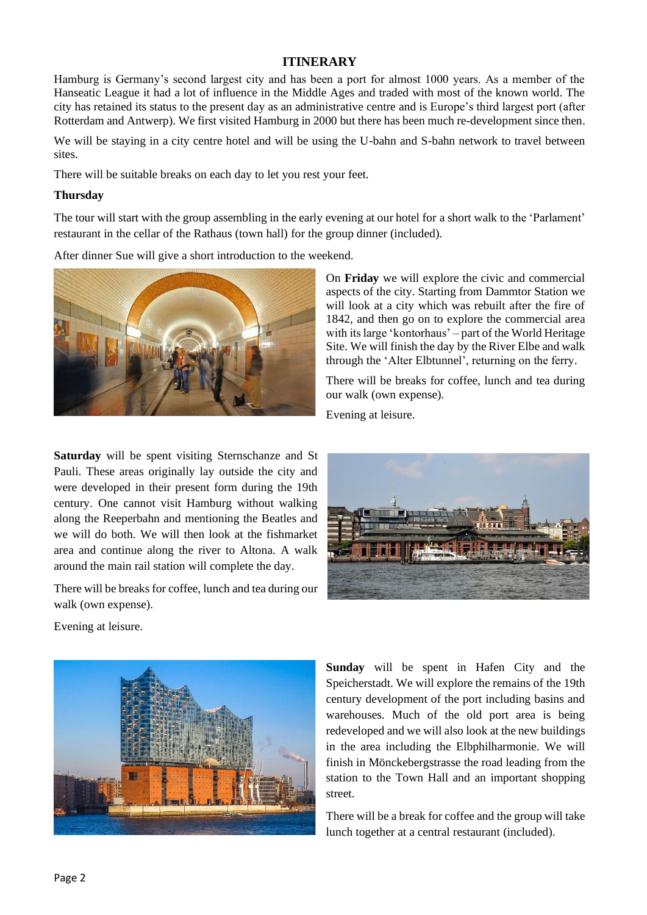#### **ITINERARY**

Hamburg is Germany's second largest city and has been a port for almost 1000 years. As a member of the Hanseatic League it had a lot of influence in the Middle Ages and traded with most of the known world. The city has retained its status to the present day as an administrative centre and is Europe's third largest port (after Rotterdam and Antwerp). We first visited Hamburg in 2000 but there has been much re-development since then.

We will be staying in a city centre hotel and will be using the U-bahn and S-bahn network to travel between sites.

There will be suitable breaks on each day to let you rest your feet.

#### **Thursday**

The tour will start with the group assembling in the early evening at our hotel for a short walk to the 'Parlament' restaurant in the cellar of the Rathaus (town hall) for the group dinner (included).

After dinner Sue will give a short introduction to the weekend.



**Saturday** will be spent visiting Sternschanze and St Pauli. These areas originally lay outside the city and were developed in their present form during the 19th century. One cannot visit Hamburg without walking along the Reeperbahn and mentioning the Beatles and we will do both. We will then look at the fishmarket area and continue along the river to Altona. A walk around the main rail station will complete the day.

There will be breaks for coffee, lunch and tea during our walk (own expense).

Evening at leisure.



On **Friday** we will explore the civic and commercial aspects of the city. Starting from Dammtor Station we will look at a city which was rebuilt after the fire of 1842, and then go on to explore the commercial area with its large 'kontorhaus' – part of the World Heritage Site. We will finish the day by the River Elbe and walk through the 'Alter Elbtunnel', returning on the ferry.

There will be breaks for coffee, lunch and tea during our walk (own expense).

Evening at leisure.



**Sunday** will be spent in Hafen City and the Speicherstadt. We will explore the remains of the 19th century development of the port including basins and warehouses. Much of the old port area is being redeveloped and we will also look at the new buildings in the area including the Elbphilharmonie. We will finish in Mönckebergstrasse the road leading from the station to the Town Hall and an important shopping street.

There will be a break for coffee and the group will take lunch together at a central restaurant (included).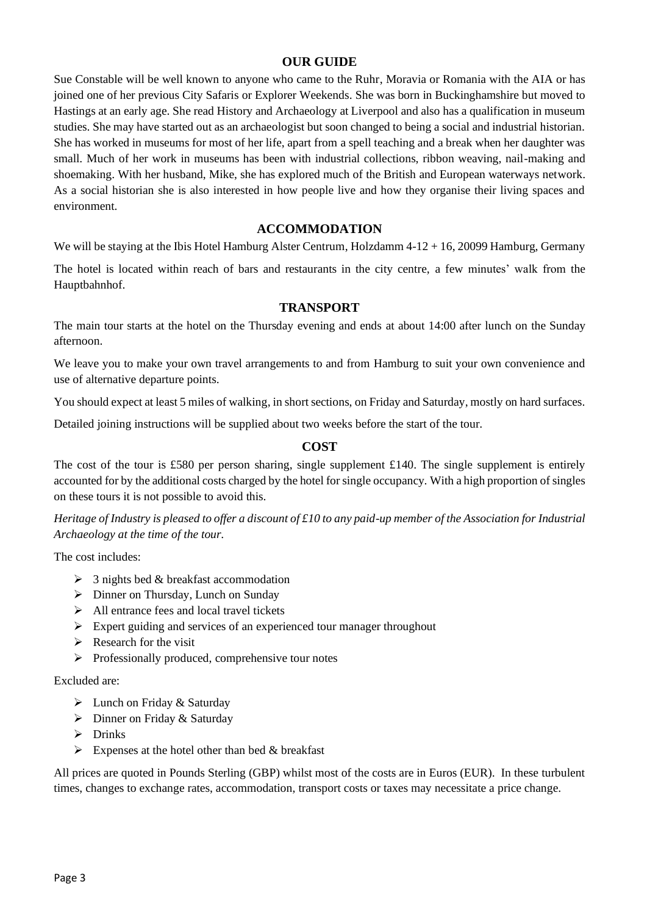#### **OUR GUIDE**

Sue Constable will be well known to anyone who came to the Ruhr, Moravia or Romania with the AIA or has joined one of her previous City Safaris or Explorer Weekends. She was born in Buckinghamshire but moved to Hastings at an early age. She read History and Archaeology at Liverpool and also has a qualification in museum studies. She may have started out as an archaeologist but soon changed to being a social and industrial historian. She has worked in museums for most of her life, apart from a spell teaching and a break when her daughter was small. Much of her work in museums has been with industrial collections, ribbon weaving, nail-making and shoemaking. With her husband, Mike, she has explored much of the British and European waterways network. As a social historian she is also interested in how people live and how they organise their living spaces and environment.

#### **ACCOMMODATION**

We will be staying at the Ibis Hotel Hamburg Alster Centrum, Holzdamm 4-12 + 16, 20099 Hamburg, Germany

The hotel is located within reach of bars and restaurants in the city centre, a few minutes' walk from the Hauptbahnhof.

#### **TRANSPORT**

The main tour starts at the hotel on the Thursday evening and ends at about 14:00 after lunch on the Sunday afternoon.

We leave you to make your own travel arrangements to and from Hamburg to suit your own convenience and use of alternative departure points.

You should expect at least 5 miles of walking, in short sections, on Friday and Saturday, mostly on hard surfaces.

Detailed joining instructions will be supplied about two weeks before the start of the tour.

#### **COST**

The cost of the tour is £580 per person sharing, single supplement £140. The single supplement is entirely accounted for by the additional costs charged by the hotel for single occupancy. With a high proportion of singles on these tours it is not possible to avoid this.

*Heritage of Industry is pleased to offer a discount of £10 to any paid-up member of the Association for Industrial Archaeology at the time of the tour.*

The cost includes:

- $\geq$  3 nights bed & breakfast accommodation
- ➢ Dinner on Thursday, Lunch on Sunday
- $\triangleright$  All entrance fees and local travel tickets
- ➢ Expert guiding and services of an experienced tour manager throughout
- $\triangleright$  Research for the visit
- ➢ Professionally produced, comprehensive tour notes

#### Excluded are:

- $\triangleright$  Lunch on Friday & Saturday
- ➢ Dinner on Friday & Saturday
- ➢ Drinks
- $\triangleright$  Expenses at the hotel other than bed & breakfast

All prices are quoted in Pounds Sterling (GBP) whilst most of the costs are in Euros (EUR). In these turbulent times, changes to exchange rates, accommodation, transport costs or taxes may necessitate a price change.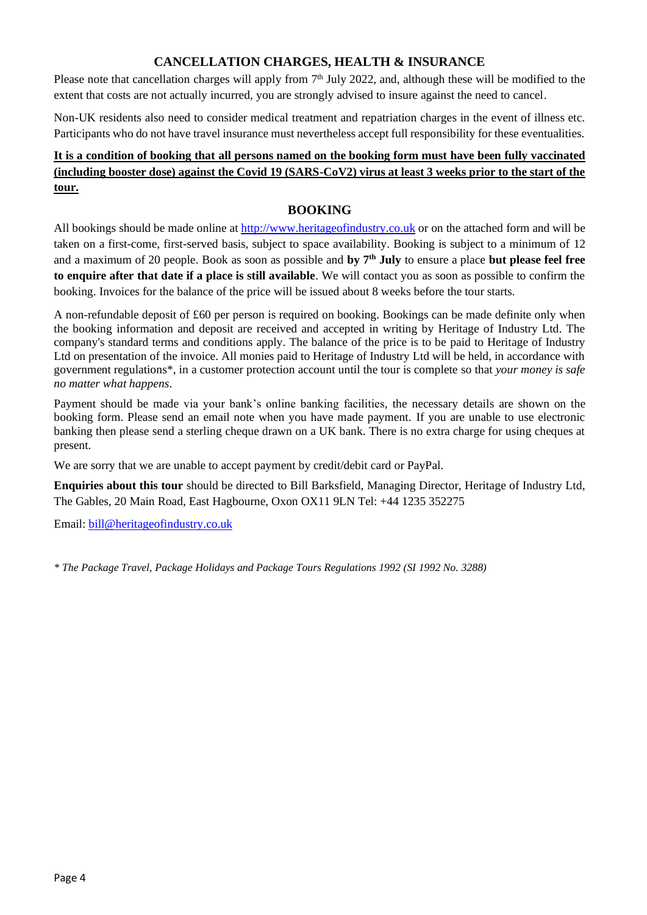#### **CANCELLATION CHARGES, HEALTH & INSURANCE**

Please note that cancellation charges will apply from  $7<sup>th</sup>$  July 2022, and, although these will be modified to the extent that costs are not actually incurred, you are strongly advised to insure against the need to cancel.

Non-UK residents also need to consider medical treatment and repatriation charges in the event of illness etc. Participants who do not have travel insurance must nevertheless accept full responsibility for these eventualities.

#### **It is a condition of booking that all persons named on the booking form must have been fully vaccinated (including booster dose) against the Covid 19 (SARS-CoV2) virus at least 3 weeks prior to the start of the tour.**

#### **BOOKING**

All bookings should be made online at [http://www.heritageofindustry.co.uk](http://www.heritageofindustry.co.uk/) or on the attached form and will be taken on a first-come, first-served basis, subject to space availability. Booking is subject to a minimum of 12 and a maximum of 20 people. Book as soon as possible and **by 7 th July** to ensure a place **but please feel free to enquire after that date if a place is still available**. We will contact you as soon as possible to confirm the booking. Invoices for the balance of the price will be issued about 8 weeks before the tour starts.

A non-refundable deposit of £60 per person is required on booking. Bookings can be made definite only when the booking information and deposit are received and accepted in writing by Heritage of Industry Ltd. The company's standard terms and conditions apply. The balance of the price is to be paid to Heritage of Industry Ltd on presentation of the invoice. All monies paid to Heritage of Industry Ltd will be held, in accordance with government regulations\*, in a customer protection account until the tour is complete so that *your money is safe no matter what happens*.

Payment should be made via your bank's online banking facilities, the necessary details are shown on the booking form. Please send an email note when you have made payment. If you are unable to use electronic banking then please send a sterling cheque drawn on a UK bank. There is no extra charge for using cheques at present.

We are sorry that we are unable to accept payment by credit/debit card or PayPal.

**Enquiries about this tour** should be directed to Bill Barksfield, Managing Director, Heritage of Industry Ltd, The Gables, 20 Main Road, East Hagbourne, Oxon OX11 9LN Tel: +44 1235 352275

Email: [bill@heritageofindustry.co.uk](mailto:bill@heritageofindustry.co.uk)

*\* The Package Travel, Package Holidays and Package Tours Regulations 1992 (SI 1992 No. 3288)*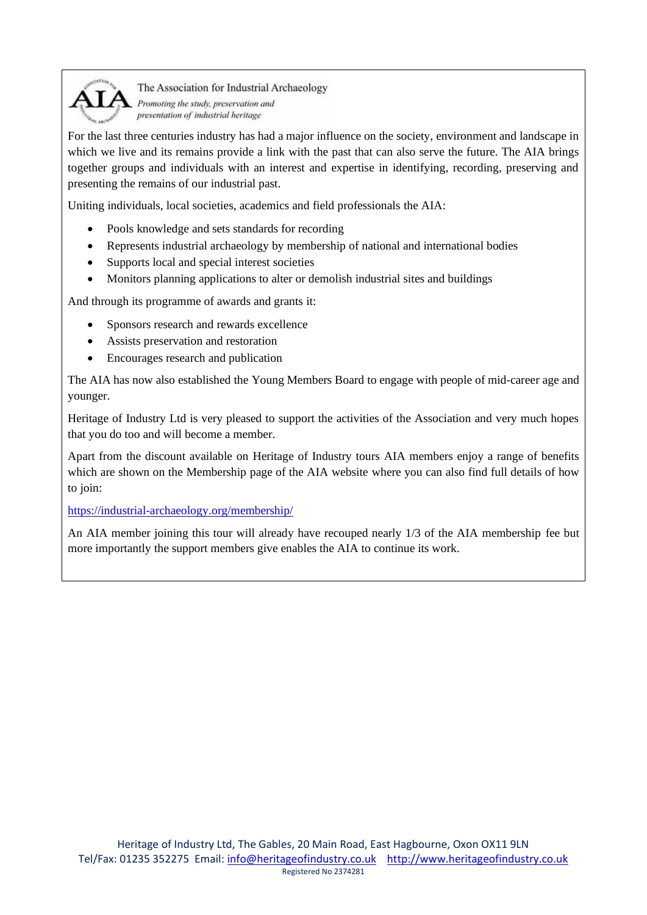

The Association for Industrial Archaeology Promoting the study, preservation and presentation of industrial heritage

For the last three centuries industry has had a major influence on the society, environment and landscape in which we live and its remains provide a link with the past that can also serve the future. The AIA brings together groups and individuals with an interest and expertise in identifying, recording, preserving and presenting the remains of our industrial past.

Uniting individuals, local societies, academics and field professionals the AIA:

- Pools knowledge and sets standards for recording
- Represents industrial archaeology by membership of national and international bodies
- Supports local and special interest societies
- Monitors planning applications to alter or demolish industrial sites and buildings

And through its programme of awards and grants it:

- Sponsors research and rewards excellence
- Assists preservation and restoration
- Encourages research and publication

The AIA has now also established the Young Members Board to engage with people of mid-career age and younger.

Heritage of Industry Ltd is very pleased to support the activities of the Association and very much hopes that you do too and will become a member.

Apart from the discount available on Heritage of Industry tours AIA members enjoy a range of benefits which are shown on the Membership page of the AIA website where you can also find full details of how to join:

<https://industrial-archaeology.org/membership/>

An AIA member joining this tour will already have recouped nearly 1/3 of the AIA membership fee but more importantly the support members give enables the AIA to continue its work.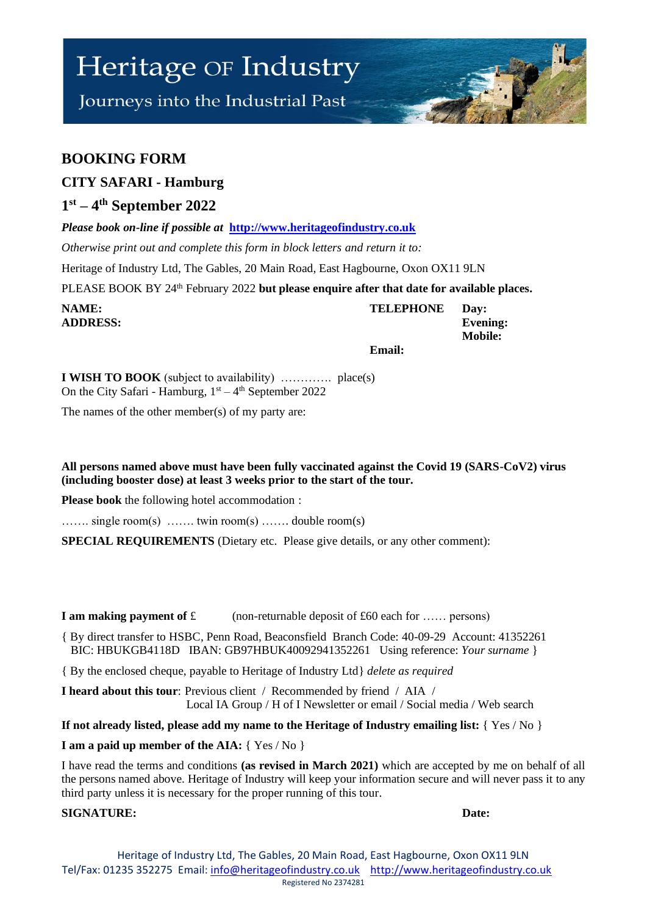# Heritage OF Industry

Journeys into the Industrial Past

## **BOOKING FORM**

### **CITY SAFARI - Hamburg**

### **1 st – 4 th September 2022**

*Please book on-line if possible at* **[http://www.heritageofindustry.co.uk](http://www.heritageofindustry.co.uk/)**

*Otherwise print out and complete this form in block letters and return it to:*

Heritage of Industry Ltd, The Gables, 20 Main Road, East Hagbourne, Oxon OX11 9LN

PLEASE BOOK BY 24<sup>th</sup> February 2022 **but please enquire after that date for available places.** 

| NAME:           | <b>TELEPHONE</b> | Day:            |
|-----------------|------------------|-----------------|
| <b>ADDRESS:</b> |                  | <b>Evening:</b> |
|                 |                  | <b>Mobile:</b>  |
|                 | Email:           |                 |

**I WISH TO BOOK** (subject to availability) …………. place(s) On the City Safari - Hamburg,  $1<sup>st</sup> - 4<sup>th</sup>$  September 2022

The names of the other member(s) of my party are:

**All persons named above must have been fully vaccinated against the Covid 19 (SARS-CoV2) virus (including booster dose) at least 3 weeks prior to the start of the tour.**

**Please book** the following hotel accommodation :

……. single room(s) ……. twin room(s) ……. double room(s)

**SPECIAL REQUIREMENTS** (Dietary etc. Please give details, or any other comment):

**I am making payment of £** (non-returnable deposit of £60 each for ...... persons)

{ By direct transfer to HSBC, Penn Road, Beaconsfield Branch Code: 40-09-29 Account: 41352261 BIC: HBUKGB4118D IBAN: GB97HBUK40092941352261 Using reference: *Your surname* }

{ By the enclosed cheque, payable to Heritage of Industry Ltd} *delete as required*

**I heard about this tour**: Previous client / Recommended by friend / AIA / Local IA Group / H of I Newsletter or email / Social media / Web search

**If not already listed, please add my name to the Heritage of Industry emailing list:** { Yes / No }

**I am a paid up member of the AIA:** { Yes / No }

I have read the terms and conditions **(as revised in March 2021)** which are accepted by me on behalf of all the persons named above. Heritage of Industry will keep your information secure and will never pass it to any third party unless it is necessary for the proper running of this tour.

#### **SIGNATURE: Date:**